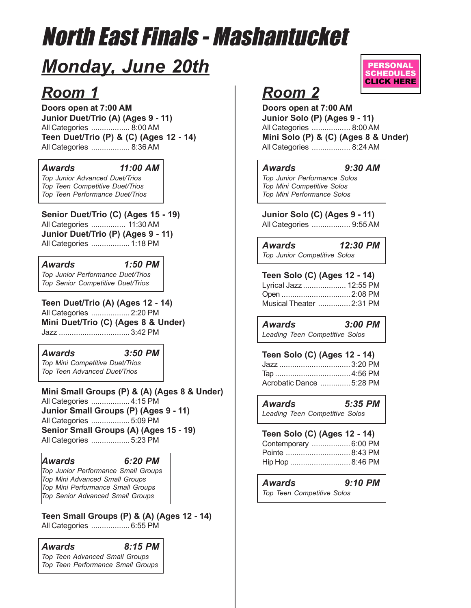# North East Finals - Mashantucket

# *Monday, June 20th*

# *Room 1*

**Doors open at 7:00 AM Junior Duet/Trio (A) (Ages 9 - 11)** All Categories .................. 8:00 AM **Teen Duet/Trio (P) & (C) (Ages 12 - 14)** All Categories .................. 8:36 AM

### *Awards 11:00 AM*

*Top Junior Advanced Duet/Trios Top Teen Competitive Duet/Trios Top Teen Performance Duet/Trios*

**Senior Duet/Trio (C) (Ages 15 - 19)** All Categories ................ 11:30 AM **Junior Duet/Trio (P) (Ages 9 - 11)** All Categories .................. 1:18 PM

*Awards 1:50 PM Top Junior Performance Duet/Trios Top Senior Competitive Duet/Trios*

**Teen Duet/Trio (A) (Ages 12 - 14)** All Categories .................. 2:20 PM **Mini Duet/Trio (C) (Ages 8 & Under)** Jazz ................................. 3:42 PM

### *Awards 3:50 PM*

*Top Mini Competitive Duet/Trios Top Teen Advanced Duet/Trios*

**Mini Small Groups (P) & (A) (Ages 8 & Under)** All Categories .................. 4:15 PM **Junior Small Groups (P) (Ages 9 - 11)** All Categories .................. 5:09 PM **Senior Small Groups (A) (Ages 15 - 19)** All Categories .................. 5:23 PM

### *Awards 6:20 PM*

*Top Junior Performance Small Groups Top Mini Advanced Small Groups Top Mini Performance Small Groups Top Senior Advanced Small Groups*

**Teen Small Groups (P) & (A) (Ages 12 - 14)** All Categories .................. 6:55 PM

### *Awards 8:15 PM Top Teen Advanced Small Groups Top Teen Performance Small Groups*



# *Room 2*

**Doors open at 7:00 AM Junior Solo (P) (Ages 9 - 11)** All Categories .................. 8:00 AM **Mini Solo (P) & (C) (Ages 8 & Under)** All Categories .................. 8:24 AM

### *Awards 9:30 AM*

*Top Junior Performance Solos Top Mini Competitive Solos Top Mini Performance Solos*

**Junior Solo (C) (Ages 9 - 11)**

All Categories .................. 9:55 AM

*Awards 12:30 PM Top Junior Competitive Solos*

**Teen Solo (C) (Ages 12 - 14)** Lyrical Jazz .................... 12:55 PM

Open ................................2:08 PM Musical Theater ............... 2:31 PM

*Awards 3:00 PM Leading Teen Competitive Solos*

| Teen Solo (C) (Ages 12 - 14) |
|------------------------------|
| Jazz  3:20 PM                |
|                              |
| Acrobatic Dance  5:28 PM     |
|                              |

*Awards 5:35 PM Leading Teen Competitive Solos*

### **Teen Solo (C) (Ages 12 - 14)** Contemporary .................. 6:00 PM

| 50115011501417  |  |
|-----------------|--|
|                 |  |
| Hip Hop 8:46 PM |  |

*Awards 9:10 PM Top Teen Competitive Solos*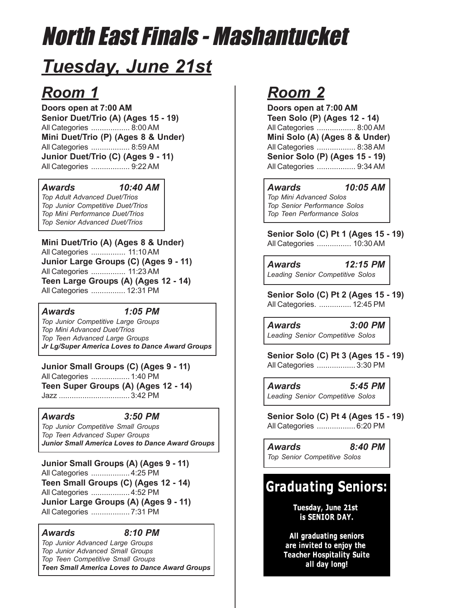# North East Finals - Mashantucket

# *Tuesday, June 21st*

# *Room 1*

**Doors open at 7:00 AM Senior Duet/Trio (A) (Ages 15 - 19)** All Categories .................. 8:00 AM **Mini Duet/Trio (P) (Ages 8 & Under)** All Categories .................. 8:59 AM **Junior Duet/Trio (C) (Ages 9 - 11)** All Categories .................. 9:22 AM

### *Awards 10:40 AM*

*Top Adult Advanced Duet/Trios Top Junior Competitive Duet/Trios Top Mini Performance Duet/Trios Top Senior Advanced Duet/Trios*

**Mini Duet/Trio (A) (Ages 8 & Under)** All Categories ................ 11:10 AM **Junior Large Groups (C) (Ages 9 - 11)** All Categories ................ 11:23 AM **Teen Large Groups (A) (Ages 12 - 14)** All Categories ................ 12:31 PM

### *Awards 1:05 PM*

*Top Junior Competitive Large Groups Top Mini Advanced Duet/Trios Top Teen Advanced Large Groups Jr Lg/Super America Loves to Dance Award Groups*

**Junior Small Groups (C) (Ages 9 - 11)** All Categories .................. 1:40 PM **Teen Super Groups (A) (Ages 12 - 14)** Jazz ................................. 3:42 PM

### *Awards 3:50 PM*

*Top Junior Competitive Small Groups Top Teen Advanced Super Groups Junior Small America Loves to Dance Award Groups*

**Junior Small Groups (A) (Ages 9 - 11)** All Categories .................. 4:25 PM **Teen Small Groups (C) (Ages 12 - 14)**

All Categories .................. 4:52 PM **Junior Large Groups (A) (Ages 9 - 11)** All Categories .................. 7:31 PM

### *Awards 8:10 PM*

*Top Junior Advanced Large Groups Top Junior Advanced Small Groups Top Teen Competitive Small Groups Teen Small America Loves to Dance Award Groups*

# *Room 2*

**Doors open at 7:00 AM Teen Solo (P) (Ages 12 - 14)** All Categories .................. 8:00 AM **Mini Solo (A) (Ages 8 & Under)** All Categories .................. 8:38 AM **Senior Solo (P) (Ages 15 - 19)** All Categories .................. 9:34 AM

### *Awards 10:05 AM*

*Top Mini Advanced Solos Top Senior Performance Solos Top Teen Performance Solos*

**Senior Solo (C) Pt 1 (Ages 15 - 19)** All Categories ................ 10:30 AM

*Awards 12:15 PM Leading Senior Competitive Solos*

**Senior Solo (C) Pt 2 (Ages 15 - 19)** All Categories. ............... 12:45 PM

*Awards 3:00 PM Leading Senior Competitive Solos*

**Senior Solo (C) Pt 3 (Ages 15 - 19)** All Categories .................. 3:30 PM

*Awards 5:45 PM Leading Senior Competitive Solos*

**Senior Solo (C) Pt 4 (Ages 15 - 19)** All Categories .................. 6:20 PM

*Awards 8:40 PM Top Senior Competitive Solos*

## **Graduating Seniors:**

Tuesday, June 21st is SENIOR DAY.

All graduating seniors are invited to enjoy the **Teacher Hospitality Suite** all day long!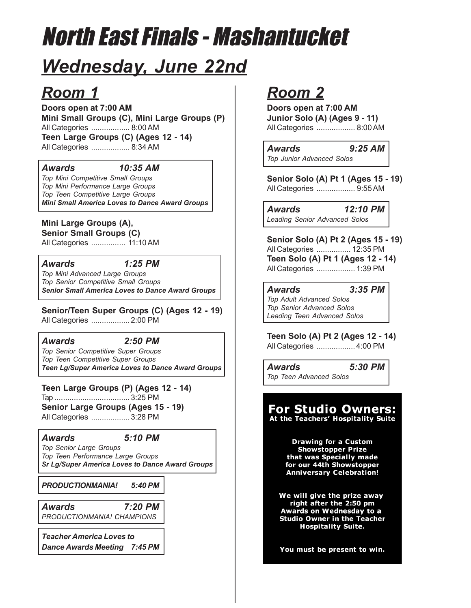# North East Finals - Mashantucket

# *Wednesday, June 22nd*

## *Room 1*

**Doors open at 7:00 AM Mini Small Groups (C), Mini Large Groups (P)** All Categories .................. 8:00 AM **Teen Large Groups (C) (Ages 12 - 14)** All Categories .................. 8:34 AM

### *Awards 10:35 AM*

*Top Mini Competitive Small Groups Top Mini Performance Large Groups Top Teen Competitive Large Groups Mini Small America Loves to Dance Award Groups*

### **Mini Large Groups (A),**

**Senior Small Groups (C)**

All Categories ................ 11:10 AM

### *Awards 1:25 PM*

*Top Mini Advanced Large Groups Top Senior Competitive Small Groups Senior Small America Loves to Dance Award Groups*

### **Senior/Teen Super Groups (C) (Ages 12 - 19)**

All Categories .................. 2:00 PM

### *Awards 2:50 PM*

*Top Senior Competitive Super Groups Top Teen Competitive Super Groups Teen Lg/Super America Loves to Dance Award Groups*

### **Teen Large Groups (P) (Ages 12 - 14)**

Tap ................................... 3:25 PM **Senior Large Groups (Ages 15 - 19)**

All Categories .................. 3:28 PM

### *Awards 5:10 PM*

*Top Senior Large Groups Top Teen Performance Large Groups Sr Lg/Super America Loves to Dance Award Groups*

*PRODUCTIONMANIA! 5:40 PM*

*Awards 7:20 PM PRODUCTIONMANIA! CHAMPIONS*

*Teacher America Loves to Dance Awards Meeting 7:45 PM*

## *Room 2*

**Doors open at 7:00 AM Junior Solo (A) (Ages 9 - 11)** All Categories .................. 8:00 AM

*Awards 9:25 AM Top Junior Advanced Solos*

**Senior Solo (A) Pt 1 (Ages 15 - 19)** All Categories .................. 9:55 AM

*Awards 12:10 PM Leading Senior Advanced Solos*

**Senior Solo (A) Pt 2 (Ages 15 - 19)** All Categories ................ 12:35 PM **Teen Solo (A) Pt 1 (Ages 12 - 14)**

All Categories .................. 1:39 PM

*Awards 3:35 PM Top Adult Advanced Solos Top Senior Advanced Solos*

*Leading Teen Advanced Solos*

### **Teen Solo (A) Pt 2 (Ages 12 - 14)**

All Categories .................. 4:00 PM

*Awards 5:30 PM Top Teen Advanced Solos*

## **For Studio Owners:**

At the Teachers' Hospitality Suite

**Drawing for a Custom Showstopper Prize** that was Specially made for our 44th Showstopper **Anniversary Celebration!** 

We will give the prize away right after the 2:50 pm Awards on Wednesday to a **Studio Owner in the Teacher Hospitality Suite.** 

You must be present to win.